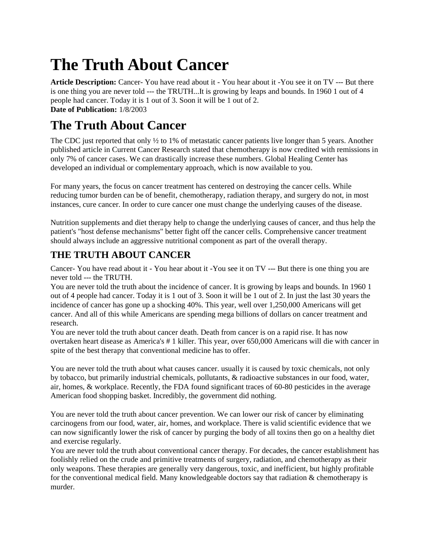## **The Truth About Cancer**

**Article Description:** Cancer- You have read about it - You hear about it -You see it on TV --- But there is one thing you are never told --- the TRUTH...It is growing by leaps and bounds. In 1960 1 out of 4 people had cancer. Today it is 1 out of 3. Soon it will be 1 out of 2. **Date of Publication:** 1/8/2003

## **The Truth About Cancer**

The CDC just reported that only  $\frac{1}{2}$  to 1% of metastatic cancer patients live longer than 5 years. Another published article in Current Cancer Research stated that chemotherapy is now credited with remissions in only 7% of cancer cases. We can drastically increase these numbers. Global Healing Center has developed an individual or complementary approach, which is now available to you.

For many years, the focus on cancer treatment has centered on destroying the cancer cells. While reducing tumor burden can be of benefit, chemotherapy, radiation therapy, and surgery do not, in most instances, cure cancer. In order to cure cancer one must change the underlying causes of the disease.

Nutrition supplements and diet therapy help to change the underlying causes of cancer, and thus help the patient's "host defense mechanisms" better fight off the cancer cells. Comprehensive cancer treatment should always include an aggressive nutritional component as part of the overall therapy.

## **THE TRUTH ABOUT CANCER**

Cancer- You have read about it - You hear about it -You see it on TV --- But there is one thing you are never told --- the TRUTH.

You are never told the truth about the incidence of cancer. It is growing by leaps and bounds. In 1960 1 out of 4 people had cancer. Today it is 1 out of 3. Soon it will be 1 out of 2. In just the last 30 years the incidence of cancer has gone up a shocking 40%. This year, well over 1,250,000 Americans will get cancer. And all of this while Americans are spending mega billions of dollars on cancer treatment and research.

You are never told the truth about cancer death. Death from cancer is on a rapid rise. It has now overtaken heart disease as America's # 1 killer. This year, over 650,000 Americans will die with cancer in spite of the best therapy that conventional medicine has to offer.

You are never told the truth about what causes cancer. usually it is caused by toxic chemicals, not only by tobacco, but primarily industrial chemicals, pollutants, & radioactive substances in our food, water, air, homes, & workplace. Recently, the FDA found significant traces of 60-80 pesticides in the average American food shopping basket. Incredibly, the government did nothing.

You are never told the truth about cancer prevention. We can lower our risk of cancer by eliminating carcinogens from our food, water, air, homes, and workplace. There is valid scientific evidence that we can now significantly lower the risk of cancer by purging the body of all toxins then go on a healthy diet and exercise regularly.

You are never told the truth about conventional cancer therapy. For decades, the cancer establishment has foolishly relied on the crude and primitive treatments of surgery, radiation, and chemotherapy as their only weapons. These therapies are generally very dangerous, toxic, and inefficient, but highly profitable for the conventional medical field. Many knowledgeable doctors say that radiation & chemotherapy is murder.